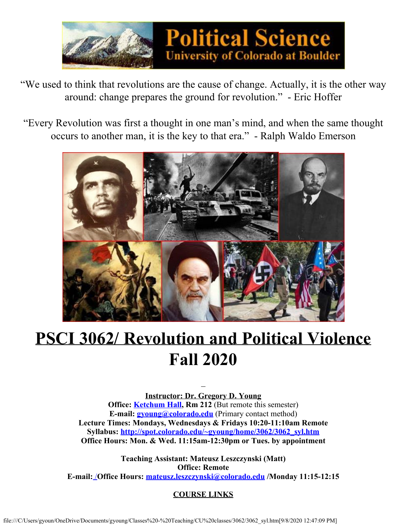

"We used to think that revolutions are the cause of change. Actually, it is the other way around: change prepares the ground for revolution." - Eric Hoffer

"Every Revolution was first a thought in one man's mind, and when the same thought occurs to another man, it is the key to that era." - Ralph Waldo Emerson



# **PSCI 3062/ Revolution and Political Violence Fall 2020**

**Instructor: Dr. Gregory D. Young Office: Ketchum Hall**, **Rm 212** (But remote this semester) **E-mail: [gyoung@colorado.edu](mailto:gyoung@colorado.edu)** (Primary contact method) **Lecture Times: Mondays, Wednesdays & Fridays 10:20-11:10am Remote Syllabus: [http://spot.colorado.edu/~gyoung/home/3062/3062\\_syl.htm](http://spot.colorado.edu/~gyoung/home/3062/3062_syl.htm) Office Hours: Mon. & Wed. 11:15am-12:30pm or Tues. by appointment**

**Teaching Assistant: Mateusz Leszczynski (Matt) Office: Remote E-mail:** /**Office Hours: [mateusz.leszczynski@colorado.edu](mailto:mateusz.leszczynski@colorado.edu) /Monday 11:15-12:15**

**COURSE LINKS**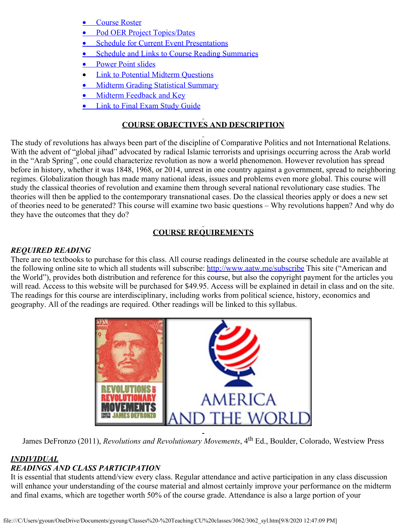- **[Course Roster](file:///C/Users/gyoun/OneDrive/Documents/gyoung/Classes%20-%20Teaching/CU%20classes/3062/3062roster.pdf)**
- [Pod OER Project Topics/Dates](file:///C/Users/gyoun/OneDrive/Documents/gyoung/Classes%20-%20Teaching/CU%20classes/3062/3062project.htm)
- **Schedule for [Current Event Presentations](file:///C/Users/gyoun/OneDrive/Documents/gyoung/Classes%20-%20Teaching/CU%20classes/3062/3062CEsked.htm)**
- **[Schedule and Links to Course Reading Summaries](file:///C/Users/gyoun/OneDrive/Documents/gyoung/Classes%20-%20Teaching/CU%20classes/3062/3062RSsked.htm)**
- [Power Point slides](file:///C/Users/gyoun/OneDrive/Documents/gyoung/Classes%20-%20Teaching/CU%20classes/3062/3062ppt.htm)
- · Link [to Potential Midterm Questions](https://d.docs.live.net/a9cdb8ec39198b1b/Documents/gyoung/Classes%20-%20Teaching/CU%20classes/3062/3062midterms.htm)
- [Midterm Grading Statistical Summary](file:///C/Users/gyoun/OneDrive/Documents/gyoung/Classes%20-%20Teaching/CU%20classes/3062/3062midscore.htm)
- [Midterm Feedback and Key](file:///C/Users/gyoun/OneDrive/Documents/gyoung/Classes%20-%20Teaching/CU%20classes/3062/midkeyF17.pptx)
- **Link to Final [Exam Study Guide](file:///C/Users/gyoun/OneDrive/Documents/gyoung/Classes%20-%20Teaching/CU%20classes/3062/3062finterms.htm)**

# **COURSE OBJECTIVES AND DESCRIPTION**

The study of revolutions has always been part of the discipline of Comparative Politics and not International Relations. With the advent of "global jihad" advocated by radical Islamic terrorists and uprisings occurring across the Arab world in the "Arab Spring", one could characterize revolution as now a world phenomenon. However revolution has spread before in history, whether it was 1848, 1968, or 2014, unrest in one country against a government, spread to neighboring regimes. Globalization though has made many national ideas, issues and problems even more global. This course will study the classical theories of revolution and examine them through several national revolutionary case studies. The theories will then be applied to the contemporary transnational cases. Do the classical theories apply or does a new set of theories need to be generated? This course will examine two basic questions – Why revolutions happen? And why do they have the outcomes that they do?

# **COURSE REQUIREMENTS**

# *REQUIRED READING*

There are no textbooks to purchase for this class. All course readings delineated in the course schedule are available at the following online site to which all students will subscribe:<http://www.aatw.me/subscribe> This site ("American and the World"), provides both distribution and reference for this course, but also the copyright payment for the articles you will read. Access to this website will be purchased for \$49.95. Access will be explained in detail in class and on the site. The readings for this course are interdisciplinary, including works from political science, history, economics and geography. All of the readings are required. Other readings will be linked to this syllabus.



James DeFronzo (2011), *Revolutions and Revolutionary Movements*, 4th Ed., Boulder, Colorado, Westview Press

#### *INDIVIDUAL READINGS AND CLASS PARTICIPATION*

It is essential that students attend/view every class. Regular attendance and active participation in any class discussion will enhance your understanding of the course material and almost certainly improve your performance on the midterm and final exams, which are together worth 50% of the course grade. Attendance is also a large portion of your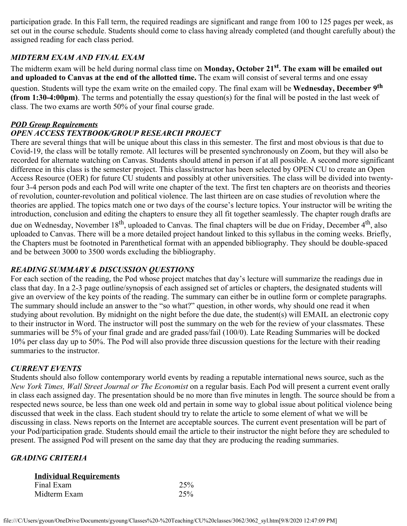participation grade. In this Fall term, the required readings are significant and range from 100 to 125 pages per week, as set out in the course schedule. Students should come to class having already completed (and thought carefully about) the assigned reading for each class period.

#### *MIDTERM EXAM AND FINAL EXAM*

The midterm exam will be held during normal class time on **Monday, October 21st. The exam will be emailed out and uploaded to Canvas at the end of the allotted time.** The exam will consist of several terms and one essay question. Students will type the exam write on the emailed copy. The final exam will be **Wednesday, December 9th (from 1:30-4:00pm)**. The terms and potentially the essay question(s) for the final will be posted in the last week of class. The two exams are worth 50% of your final course grade.

#### *POD Group Requirements*

# *OPEN ACCESS TEXTBOOK/GROUP RESEARCH PROJECT*

There are several things that will be unique about this class in this semester. The first and most obvious is that due to Covid-19, the class will be totally remote. All lectures will be presented synchronously on Zoom, but they will also be recorded for alternate watching on Canvas. Students should attend in person if at all possible. A second more significant difference in this class is the semester project. This class/instructor has been selected by OPEN CU to create an Open Access Resource (OER) for future CU students and possibly at other universities. The class will be divided into twentyfour 3-4 person pods and each Pod will write one chapter of the text. The first ten chapters are on theorists and theories of revolution, counter-revolution and political violence. The last thirteen are on case studies of revolution where the theories are applied. The topics match one or two days of the course's lecture topics. Your instructor will be writing the introduction, conclusion and editing the chapters to ensure they all fit together seamlessly. The chapter rough drafts are due on Wednesday, November 18<sup>th</sup>, uploaded to Canvas. The final chapters will be due on Friday, December 4<sup>th</sup>, also uploaded to Canvas. There will be a more detailed project handout linked to this syllabus in the coming weeks. Briefly, the Chapters must be footnoted in Parenthetical format with an appended bibliography. They should be double-spaced and be between 3000 to 3500 words excluding the bibliography.

# *READING SUMMARY & DISCUSSION QUESTIONS*

For each section of the reading, the Pod whose project matches that day's lecture will summarize the readings due in class that day. In a 2-3 page outline/synopsis of each assigned set of articles or chapters, the designated students will give an overview of the key points of the reading. The summary can either be in outline form or complete paragraphs. The summary should include an answer to the "so what?" question, in other words, why should one read it when studying about revolution. By midnight on the night before the due date, the student(s) will EMAIL an electronic copy to their instructor in Word. The instructor will post the summary on the web for the review of your classmates. These summaries will be 5% of your final grade and are graded pass/fail (100/0). Late Reading Summaries will be docked 10% per class day up to 50%. The Pod will also provide three discussion questions for the lecture with their reading summaries to the instructor.

#### *CURRENT EVENTS*

Students should also follow contemporary world events by reading a reputable international news source, such as the *New York Times, Wall Street Journal or The Economist* on a regular basis. Each Pod will present a current event orally in class each assigned day. The presentation should be no more than five minutes in length. The source should be from a respected news source, be less than one week old and pertain in some way to global issue about political violence being discussed that week in the class. Each student should try to relate the article to some element of what we will be discussing in class. News reports on the Internet are acceptable sources. The current event presentation will be part of your Pod/participation grade. Students should email the article to their instructor the night before they are scheduled to present. The assigned Pod will present on the same day that they are producing the reading summaries.

# *GRADING CRITERIA*

#### **Individual Requirements**

| 25% |
|-----|
| 25% |
|     |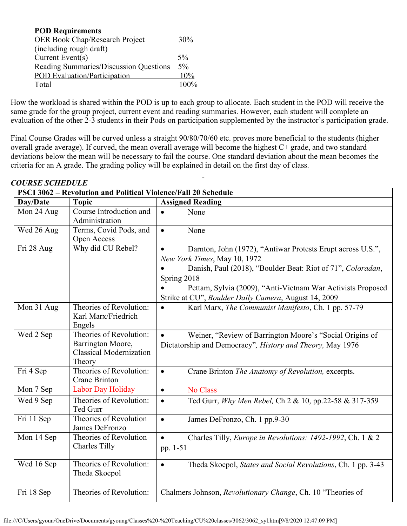| <b>POD Requirements</b>                |         |
|----------------------------------------|---------|
| OER Book Chap/Research Project         | 30%     |
| (including rough draft)                |         |
| Current Event( $s$ )                   | 5%      |
| Reading Summaries/Discussion Questions | $5\%$   |
| <b>POD</b> Evaluation/Participation    | 10%     |
| Total                                  | $100\%$ |

How the workload is shared within the POD is up to each group to allocate. Each student in the POD will receive the same grade for the group project, current event and reading summaries. However, each student will complete an evaluation of the other 2-3 students in their Pods on participation supplemented by the instructor's participation grade.

Final Course Grades will be curved unless a straight 90/80/70/60 etc. proves more beneficial to the students (higher overall grade average). If curved, the mean overall average will become the highest C+ grade, and two standard deviations below the mean will be necessary to fail the course. One standard deviation about the mean becomes the criteria for an A grade. The grading policy will be explained in detail on the first day of class.

| <b>PSCI 3062 - Revolution and Political Violence/Fall 20 Schedule</b> |                                                                                          |                                                                                                                                                                                                                                                                                                               |  |
|-----------------------------------------------------------------------|------------------------------------------------------------------------------------------|---------------------------------------------------------------------------------------------------------------------------------------------------------------------------------------------------------------------------------------------------------------------------------------------------------------|--|
| Day/Date                                                              | <b>Topic</b>                                                                             | <b>Assigned Reading</b>                                                                                                                                                                                                                                                                                       |  |
| Mon 24 Aug                                                            | Course Introduction and<br>Administration                                                | None<br>$\bullet$                                                                                                                                                                                                                                                                                             |  |
| Wed 26 Aug                                                            | Terms, Covid Pods, and<br>Open Access                                                    | None<br>$\bullet$                                                                                                                                                                                                                                                                                             |  |
| Fri 28 Aug                                                            | Why did CU Rebel?                                                                        | Darnton, John (1972), "Antiwar Protests Erupt across U.S.",<br>$\bullet$<br>New York Times, May 10, 1972<br>Danish, Paul (2018), "Boulder Beat: Riot of 71", Coloradan,<br>Spring 2018<br>Pettam, Sylvia (2009), "Anti-Vietnam War Activists Proposed<br>Strike at CU", Boulder Daily Camera, August 14, 2009 |  |
| $\overline{M}$ on 31 Aug                                              | Theories of Revolution:<br>Karl Marx/Friedrich<br>Engels                                 | Karl Marx, The Communist Manifesto, Ch. 1 pp. 57-79<br>$\bullet$                                                                                                                                                                                                                                              |  |
| Wed 2 Sep                                                             | Theories of Revolution:<br>Barrington Moore,<br><b>Classical Modernization</b><br>Theory | Weiner, "Review of Barrington Moore's "Social Origins of<br>Dictatorship and Democracy", History and Theory, May 1976                                                                                                                                                                                         |  |
| Fri 4 Sep                                                             | Theories of Revolution:<br><b>Crane Brinton</b>                                          | Crane Brinton The Anatomy of Revolution, excerpts.<br>$\bullet$                                                                                                                                                                                                                                               |  |
| Mon 7 Sep                                                             | Labor Day Holiday                                                                        | No Class<br>$\bullet$                                                                                                                                                                                                                                                                                         |  |
| Wed 9 Sep                                                             | Theories of Revolution:<br>Ted Gurr                                                      | Ted Gurr, Why Men Rebel, Ch 2 & 10, pp.22-58 & 317-359<br>$\bullet$                                                                                                                                                                                                                                           |  |
| Fri 11 Sep                                                            | Theories of Revolution<br>James DeFronzo                                                 | James DeFronzo, Ch. 1 pp.9-30<br>$\bullet$                                                                                                                                                                                                                                                                    |  |
| Mon 14 Sep                                                            | Theories of Revolution<br><b>Charles Tilly</b>                                           | Charles Tilly, Europe in Revolutions: 1492-1992, Ch. 1 & 2<br>$\bullet$<br>pp. 1-51                                                                                                                                                                                                                           |  |
| Wed 16 Sep                                                            | Theories of Revolution:<br>Theda Skocpol                                                 | Theda Skocpol, States and Social Revolutions, Ch. 1 pp. 3-43<br>$\bullet$                                                                                                                                                                                                                                     |  |
| Fri 18 Sep                                                            | Theories of Revolution:                                                                  | Chalmers Johnson, Revolutionary Change, Ch. 10 "Theories of                                                                                                                                                                                                                                                   |  |

#### *COURSE SCHEDULE*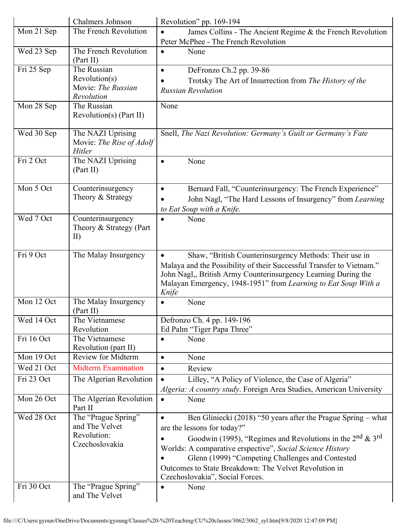| Chalmers Johnson                                        | Revolution" pp. 169-194                                                                                                                                                                                                                                                                  |
|---------------------------------------------------------|------------------------------------------------------------------------------------------------------------------------------------------------------------------------------------------------------------------------------------------------------------------------------------------|
| The French Revolution                                   | James Collins - The Ancient Regime & the French Revolution                                                                                                                                                                                                                               |
|                                                         | Peter McPhee - The French Revolution                                                                                                                                                                                                                                                     |
| The French Revolution<br>(Part II)                      | None<br>$\bullet$                                                                                                                                                                                                                                                                        |
| The Russian                                             | DeFronzo Ch.2 pp. 39-86<br>$\bullet$                                                                                                                                                                                                                                                     |
|                                                         | Trotsky The Art of Insurrection from The History of the                                                                                                                                                                                                                                  |
|                                                         | <b>Russian Revolution</b>                                                                                                                                                                                                                                                                |
|                                                         | None                                                                                                                                                                                                                                                                                     |
| Revolution(s) (Part II)                                 |                                                                                                                                                                                                                                                                                          |
| The NAZI Uprising<br>Movie: The Rise of Adolf<br>Hitler | Snell, The Nazi Revolution: Germany's Guilt or Germany's Fate                                                                                                                                                                                                                            |
| The NAZI Uprising<br>(Part II)                          | None<br>$\bullet$                                                                                                                                                                                                                                                                        |
| Counterinsurgency                                       | Bernard Fall, "Counterinsurgency: The French Experience"<br>$\bullet$                                                                                                                                                                                                                    |
| Theory & Strategy                                       | John Nagl, "The Hard Lessons of Insurgency" from Learning                                                                                                                                                                                                                                |
|                                                         | to Eat Soup with a Knife.                                                                                                                                                                                                                                                                |
| Counterinsurgency                                       | None<br>$\bullet$                                                                                                                                                                                                                                                                        |
| $\mathbf{I}$                                            |                                                                                                                                                                                                                                                                                          |
| The Malay Insurgency                                    | Shaw, "British Counterinsurgency Methods: Their use in<br>Malaya and the Possibility of their Successful Transfer to Vietnam."<br>John Nagl,, British Army Counterinsurgency Learning During the<br>Malayan Emergency, 1948-1951" from Learning to Eat Soup With a                       |
|                                                         | Knife                                                                                                                                                                                                                                                                                    |
| The Malay Insurgency<br>(Part II)                       | None<br>$\bullet$                                                                                                                                                                                                                                                                        |
| The Vietnamese                                          | Defronzo Ch. 4 pp. 149-196                                                                                                                                                                                                                                                               |
| Revolution                                              | Ed Palm "Tiger Papa Three"                                                                                                                                                                                                                                                               |
|                                                         | None<br>$\bullet$                                                                                                                                                                                                                                                                        |
|                                                         |                                                                                                                                                                                                                                                                                          |
|                                                         | None<br>$\bullet$                                                                                                                                                                                                                                                                        |
|                                                         | Review<br>$\bullet$                                                                                                                                                                                                                                                                      |
|                                                         | Lilley, "A Policy of Violence, the Case of Algeria"<br>$\bullet$                                                                                                                                                                                                                         |
|                                                         | Algeria: A country study. Foreign Area Studies, American University                                                                                                                                                                                                                      |
|                                                         | None<br>$\bullet$                                                                                                                                                                                                                                                                        |
|                                                         | Ben Gliniecki (2018) "50 years after the Prague Spring – what                                                                                                                                                                                                                            |
|                                                         |                                                                                                                                                                                                                                                                                          |
| and The Velvet                                          |                                                                                                                                                                                                                                                                                          |
| Revolution:                                             | are the lessons for today?"                                                                                                                                                                                                                                                              |
| Czechoslovakia                                          | Goodwin (1995), "Regimes and Revolutions in the $2nd$ & $3rd$                                                                                                                                                                                                                            |
|                                                         | Worlds: A comparative erspective", Social Science History                                                                                                                                                                                                                                |
|                                                         | Glenn (1999) "Competing Challenges and Contested                                                                                                                                                                                                                                         |
|                                                         | Outcomes to State Breakdown: The Velvet Revolution in<br>Czechoslovakia", Social Forces.                                                                                                                                                                                                 |
|                                                         | Revolution(s)<br>Movie: The Russian<br>Revolution<br>The Russian<br>Theory & Strategy (Part<br>The Vietnamese<br>Revolution (part II)<br><b>Review for Midterm</b><br><b>Midterm Examination</b><br>The Algerian Revolution<br>The Algerian Revolution<br>Part II<br>The "Prague Spring" |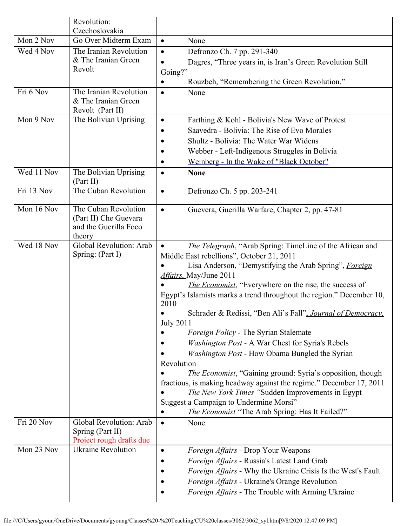|            | Revolution:<br>Czechoslovakia                                                    |                                                                                                                                                                                                                                                                                                                                                                                                                                                                                                                                                                                                                                                                                                                                                                                                                                                                                                        |
|------------|----------------------------------------------------------------------------------|--------------------------------------------------------------------------------------------------------------------------------------------------------------------------------------------------------------------------------------------------------------------------------------------------------------------------------------------------------------------------------------------------------------------------------------------------------------------------------------------------------------------------------------------------------------------------------------------------------------------------------------------------------------------------------------------------------------------------------------------------------------------------------------------------------------------------------------------------------------------------------------------------------|
| Mon 2 Nov  | Go Over Midterm Exam                                                             | None<br>$\bullet$                                                                                                                                                                                                                                                                                                                                                                                                                                                                                                                                                                                                                                                                                                                                                                                                                                                                                      |
| Wed 4 Nov  | The Iranian Revolution<br>& The Iranian Green<br>Revolt                          | Defronzo Ch. 7 pp. 291-340<br>$\bullet$<br>Dagres, "Three years in, is Iran's Green Revolution Still<br>Going?"<br>Rouzbeh, "Remembering the Green Revolution."<br>$\bullet$                                                                                                                                                                                                                                                                                                                                                                                                                                                                                                                                                                                                                                                                                                                           |
| Fri 6 Nov  | The Iranian Revolution<br>& The Iranian Green<br>Revolt (Part II)                | None<br>$\bullet$                                                                                                                                                                                                                                                                                                                                                                                                                                                                                                                                                                                                                                                                                                                                                                                                                                                                                      |
| Mon 9 Nov  | The Bolivian Uprising                                                            | Farthing & Kohl - Bolivia's New Wave of Protest<br>$\bullet$<br>Saavedra - Bolivia: The Rise of Evo Morales<br>Shultz - Bolivia: The Water War Widens<br>Webber - Left-Indigenous Struggles in Bolivia<br>Weinberg - In the Wake of "Black October"                                                                                                                                                                                                                                                                                                                                                                                                                                                                                                                                                                                                                                                    |
| Wed 11 Nov | The Bolivian Uprising<br>(Part II)                                               | <b>None</b>                                                                                                                                                                                                                                                                                                                                                                                                                                                                                                                                                                                                                                                                                                                                                                                                                                                                                            |
| Fri 13 Nov | The Cuban Revolution                                                             | Defronzo Ch. 5 pp. 203-241<br>$\bullet$                                                                                                                                                                                                                                                                                                                                                                                                                                                                                                                                                                                                                                                                                                                                                                                                                                                                |
| Mon 16 Nov | The Cuban Revolution<br>(Part II) Che Guevara<br>and the Guerilla Foco<br>theory | Guevera, Guerilla Warfare, Chapter 2, pp. 47-81<br>$\bullet$                                                                                                                                                                                                                                                                                                                                                                                                                                                                                                                                                                                                                                                                                                                                                                                                                                           |
| Wed 18 Nov | Global Revolution: Arab<br>Spring: (Part I)                                      | The Telegraph, "Arab Spring: TimeLine of the African and<br>$\bullet$<br>Middle East rebellions", October 21, 2011<br>Lisa Anderson, "Demystifying the Arab Spring", Foreign<br>Affairs, May/June 2011<br><i>The Economist</i> , "Everywhere on the rise, the success of<br>Egypt's Islamists marks a trend throughout the region." December 10,<br>2010<br>Schrader & Redissi, "Ben Ali's Fall", Journal of Democracy,<br><b>July 2011</b><br>Foreign Policy - The Syrian Stalemate<br>Washington Post - A War Chest for Syria's Rebels<br>Washington Post - How Obama Bungled the Syrian<br>Revolution<br><i>The Economist</i> , "Gaining ground: Syria's opposition, though<br>fractious, is making headway against the regime." December 17, 2011<br>The New York Times "Sudden Improvements in Egypt<br>Suggest a Campaign to Undermine Morsi"<br>The Economist "The Arab Spring: Has It Failed?" |
| Fri 20 Nov | Global Revolution: Arab<br>Spring (Part II)<br>Project rough drafts due          | None<br>$\bullet$                                                                                                                                                                                                                                                                                                                                                                                                                                                                                                                                                                                                                                                                                                                                                                                                                                                                                      |
| Mon 23 Nov | <b>Ukraine Revolution</b>                                                        | Foreign Affairs - Drop Your Weapons<br>Foreign Affairs - Russia's Latest Land Grab<br>Foreign Affairs - Why the Ukraine Crisis Is the West's Fault<br>Foreign Affairs - Ukraine's Orange Revolution<br>Foreign Affairs - The Trouble with Arming Ukraine                                                                                                                                                                                                                                                                                                                                                                                                                                                                                                                                                                                                                                               |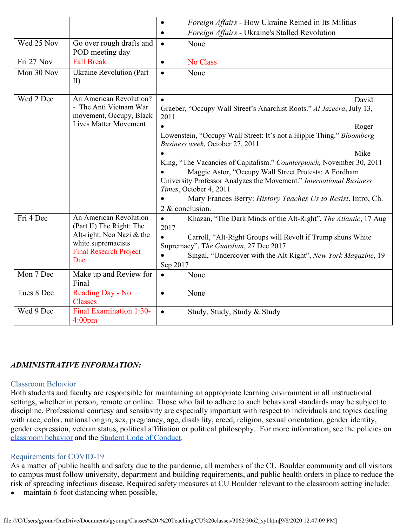|            |                                                                                                                                               | Foreign Affairs - How Ukraine Reined in Its Militias<br>٠                                                                                                                                                                                                                                                                                                                                                                                                                                                                                                         |
|------------|-----------------------------------------------------------------------------------------------------------------------------------------------|-------------------------------------------------------------------------------------------------------------------------------------------------------------------------------------------------------------------------------------------------------------------------------------------------------------------------------------------------------------------------------------------------------------------------------------------------------------------------------------------------------------------------------------------------------------------|
|            |                                                                                                                                               | Foreign Affairs - Ukraine's Stalled Revolution<br>$\bullet$                                                                                                                                                                                                                                                                                                                                                                                                                                                                                                       |
| Wed 25 Nov | Go over rough drafts and<br>POD meeting day                                                                                                   | $\bullet$<br>None                                                                                                                                                                                                                                                                                                                                                                                                                                                                                                                                                 |
| Fri 27 Nov | <b>Fall Break</b>                                                                                                                             | No Class<br>$\bullet$                                                                                                                                                                                                                                                                                                                                                                                                                                                                                                                                             |
| Mon 30 Nov | Ukraine Revolution (Part<br>II)                                                                                                               | None<br>$\bullet$                                                                                                                                                                                                                                                                                                                                                                                                                                                                                                                                                 |
| Wed 2 Dec  | An American Revolution?<br>- The Anti Vietnam War<br>movement, Occupy, Black<br><b>Lives Matter Movement</b>                                  | David<br>$\bullet$<br>Graeber, "Occupy Wall Street's Anarchist Roots." Al Jazeera, July 13,<br>2011<br>$\bullet$<br>Roger<br>Lowenstein, "Occupy Wall Street: It's not a Hippie Thing." Bloomberg<br>Business week, October 27, 2011<br>Mike<br>King, "The Vacancies of Capitalism." Counterpunch, November 30, 2011<br>Maggie Astor, "Occupy Wall Street Protests: A Fordham<br>University Professor Analyzes the Movement." International Business<br>Times, October 4, 2011<br>Mary Frances Berry: History Teaches Us to Resist. Intro, Ch.<br>2 & conclusion. |
| Fri 4 Dec  | An American Revolution<br>(Part II) The Right: The<br>Alt-right, Neo Nazi & the<br>white supremacists<br><b>Final Research Project</b><br>Due | Khazan, "The Dark Minds of the Alt-Right", The Atlantic, 17 Aug<br>$\bullet$<br>2017<br>Carroll, "Alt-Right Groups will Revolt if Trump shuns White<br>$\bullet$<br>Supremacy", The Guardian, 27 Dec 2017<br>Singal, "Undercover with the Alt-Right", New York Magazine, 19<br>Sep 2017                                                                                                                                                                                                                                                                           |
| Mon 7 Dec  | Make up and Review for<br>Final                                                                                                               | None<br>$\bullet$                                                                                                                                                                                                                                                                                                                                                                                                                                                                                                                                                 |
| Tues 8 Dec | Reading Day - No<br><b>Classes</b>                                                                                                            | None<br>$\bullet$                                                                                                                                                                                                                                                                                                                                                                                                                                                                                                                                                 |
| Wed 9 Dec  | Final Examination 1:30-<br>4:00 <sub>pm</sub>                                                                                                 | Study, Study, Study & Study<br>$\bullet$                                                                                                                                                                                                                                                                                                                                                                                                                                                                                                                          |

#### *ADMINISTRATIVE INFORMATION:*

#### Classroom Behavior

Both students and faculty are responsible for maintaining an appropriate learning environment in all instructional settings, whether in person, remote or online. Those who fail to adhere to such behavioral standards may be subject to discipline. Professional courtesy and sensitivity are especially important with respect to individuals and topics dealing with race, color, national origin, sex, pregnancy, age, disability, creed, religion, sexual orientation, gender identity, gender expression, veteran status, political affiliation or political philosophy. For more information, see the policies on [classroom behavior](http://www.colorado.edu/policies/student-classroom-and-course-related-behavior) and the [Student Code of Conduct](https://www.colorado.edu/sccr/sites/default/files/attached-files/2019-2020_student_code_of_conduct_0.pdf).

#### Requirements for COVID-19

As a matter of public health and safety due to the pandemic, all members of the CU Boulder community and all visitors to campus must follow university, department and building requirements, and public health orders in place to reduce the risk of spreading infectious disease. Required safety measures at CU Boulder relevant to the classroom setting include:

maintain 6-foot distancing when possible,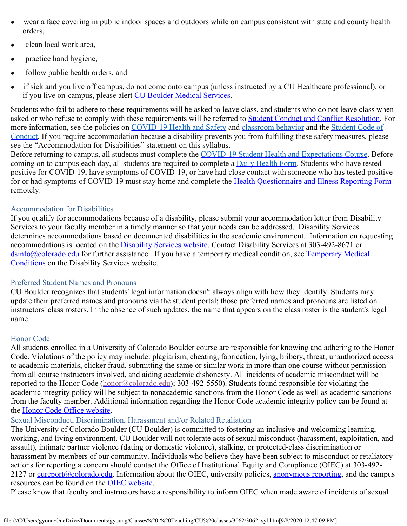- wear a face covering in public indoor spaces and outdoors while on campus consistent with state and county health orders,
- clean local work area,
- practice hand hygiene,
- follow public health orders, and
- if sick and you live off campus, do not come onto campus (unless instructed by a CU Healthcare professional), or if you live on-campus, please alert CU [Boulder Medical Services](https://www.colorado.edu/healthcenter/coronavirus-updates/symptoms-and-what-do-if-you-feel-sick).

Students who fail to adhere to these requirements will be asked to leave class, and students who do not leave class when asked or who refuse to comply with these requirements will be referred to [Student Conduct and](https://www.colorado.edu/sccr/) Conflict Resolution. For more information, see the policies on [COVID-19 Health and Safety](https://www.colorado.edu/policies/covid-19-health-and-safety-policy) and [classroom behavior](http://www.colorado.edu/policies/student-classroom-and-course-related-behavior) and the [Student Code](http://www.colorado.edu/osccr/) of [Conduct.](http://www.colorado.edu/osccr/) If you require accommodation because a disability prevents you from fulfilling these safety measures, please see the "Accommodation for Disabilities" statement on this syllabus.

Before returning to campus, all students must complete the [COVID-19 Student Health and Expectations Course.](https://www.colorado.edu/protect-our-herd/how#anchor1) Before coming on to campus each day, all students are required to complete a **[Daily Health Form](https://www.colorado.edu/protect-our-herd/daily-health-form)**. Students who have tested positive for COVID-19, have symptoms of COVID-19, or have had close contact with someone who has tested positive for or had symptoms of COVID-19 must stay home and complete the Health [Questionnaire and Illness Reporting Form](https://www.colorado.edu/protect-our-herd/daily-health-form) remotely.

#### Accommodation for Disabilities

If you qualify for accommodations because of a disability, please submit your accommodation letter from Disability Services to your faculty member in a timely manner so that your needs can be addressed. Disability Services determines accommodations based on documented disabilities in the academic environment. Information on requesting accommodations is located on the [Disability Services website](https://www.colorado.edu/disabilityservices/). Contact Disability Services at 303-492-8671 or [dsinfo@colorado.edu](mailto:dsinfo@colorado.edu) for further assistance. If you have a temporary medical condition, see [Temporary](http://www.colorado.edu/disabilityservices/students/temporary-medical-conditions) Medical [Conditions](http://www.colorado.edu/disabilityservices/students/temporary-medical-conditions) on the Disability Services website.

#### Preferred Student Names and Pronouns

CU Boulder recognizes that students' legal information doesn't always align with how they identify. Students may update their preferred names and pronouns via the student portal; those preferred names and pronouns are listed on instructors' class rosters. In the absence of such updates, the name that appears on the class roster is the student's legal name.

# Honor Code

All students enrolled in a University of Colorado Boulder course are responsible for knowing and adhering to the Honor Code. Violations of the policy may include: plagiarism, cheating, fabrication, lying, bribery, threat, unauthorized access to academic materials, clicker fraud, submitting the same or similar work in more than one course without permission from all course instructors involved, and aiding academic dishonesty. All incidents of academic misconduct will be reported to the Honor Code ([honor@colorado.edu](mailto:honor@colorado.edu)); 303-492-5550). Students found responsible for violating the academic integrity policy will be subject to nonacademic sanctions from the Honor Code as well as academic sanctions from the faculty member. Additional information regarding the Honor Code academic integrity policy can be found at the Honor Code [Office website](https://www.colorado.edu/osccr/honor-code).

# Sexual Misconduct, Discrimination, Harassment and/or Related Retaliation

The University of Colorado Boulder (CU Boulder) is committed to fostering an inclusive and welcoming learning, working, and living environment. CU Boulder will not tolerate acts of sexual misconduct (harassment, exploitation, and assault), intimate partner violence (dating or domestic violence), stalking, or protected-class discrimination or harassment by members of our community. Individuals who believe they have been subject to misconduct or retaliatory actions for reporting a concern should contact the Office of Institutional Equity and Compliance (OIEC) at 303-492 2127 or [cureport@colorado.edu](mailto:cureport@colorado.edu). Information about the OIEC, university policies, [anonymous](https://cuboulder.qualtrics.com/jfe/form/SV_0PnqVK4kkIJIZnf) reporting, and the campus resources can be found on the [OIEC website.](http://www.colorado.edu/institutionalequity/)

Please know that faculty and instructors have a responsibility to inform OIEC when made aware of incidents of sexual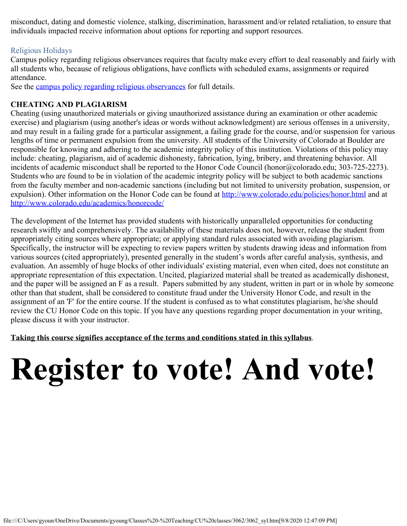misconduct, dating and domestic violence, stalking, discrimination, harassment and/or related retaliation, to ensure that individuals impacted receive information about options for reporting and support resources.

#### Religious Holidays

Campus policy regarding religious observances requires that faculty make every effort to deal reasonably and fairly with all students who, because of religious obligations, have conflicts with scheduled exams, assignments or required attendance.

See the campus [policy regarding religious observances](http://www.colorado.edu/policies/observance-religious-holidays-and-absences-classes-andor-exams) for full details.

### **CHEATING AND PLAGIARISM**

Cheating (using unauthorized materials or giving unauthorized assistance during an examination or other academic exercise) and plagiarism (using another's ideas or words without acknowledgment) are serious offenses in a university, and may result in a failing grade for a particular assignment, a failing grade for the course, and/or suspension for various lengths of time or permanent expulsion from the university. All students of the University of Colorado at Boulder are responsible for knowing and adhering to the academic integrity policy of this institution. Violations of this policy may include: cheating, plagiarism, aid of academic dishonesty, fabrication, lying, bribery, and threatening behavior. All incidents of academic misconduct shall be reported to the Honor Code Council (honor@colorado.edu; 303-725-2273). Students who are found to be in violation of the academic integrity policy will be subject to both academic sanctions from the faculty member and non-academic sanctions (including but not limited to university probation, suspension, or expulsion). Other information on the Honor Code can be found at [http://www.colorado.edu/policies/honor.html](https://culink.colorado.edu/wm/mail/fetch.html?urlid=g0a9ec54cc73e3531669be70a951dc2efdj9p5nljhl&url=http%3A%2F%2Fwww.colorado.edu%2Fpolicies%2Fhonor.html) and at [http://www.colorado.edu/academics/honorcode/](https://culink.colorado.edu/wm/mail/fetch.html?urlid=g0a9ec54cc73e3531669be70a951dc2efdj9p5nljhl&url=http%3A%2F%2Fwww.colorado.edu%2Facademics%2Fhonorcode%2F)

The development of the Internet has provided students with historically unparalleled opportunities for conducting research swiftly and comprehensively. The availability of these materials does not, however, release the student from appropriately citing sources where appropriate; or applying standard rules associated with avoiding plagiarism. Specifically, the instructor will be expecting to review papers written by students drawing ideas and information from various sources (cited appropriately), presented generally in the student's words after careful analysis, synthesis, and evaluation. An assembly of huge blocks of other individuals' existing material, even when cited, does not constitute an appropriate representation of this expectation. Uncited, plagiarized material shall be treated as academically dishonest, and the paper will be assigned an F as a result. Papers submitted by any student, written in part or in whole by someone other than that student, shall be considered to constitute fraud under the University Honor Code, and result in the assignment of an 'F' for the entire course. If the student is confused as to what constitutes plagiarism, he/she should review the CU Honor Code on this topic. If you have any questions regarding proper documentation in your writing, please discuss it with your instructor.

**Taking this course signifies acceptance of the terms and conditions stated in this syllabus**.

# **Register to vote! And vote!**